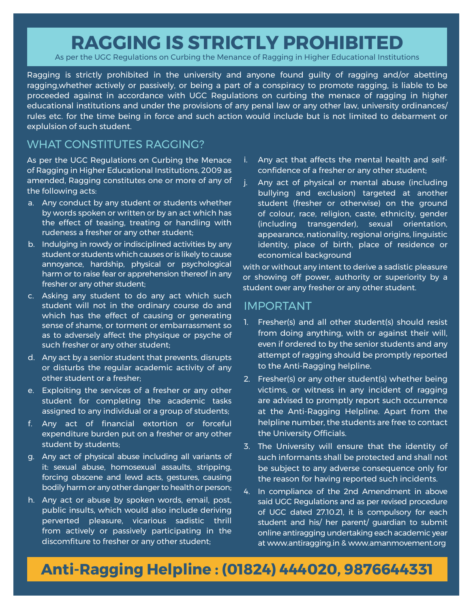# **RAGGING IS STRICTLY PROHIBITED**

As per the UGC Regulations on Curbing the Menance of Ragging in Higher Educational Institutions

Ragging is strictly prohibited in the university and anyone found guilty of ragging and/or abetting ragging,whether actively or passively, or being a part of a conspiracy to promote ragging, is liable to be proceeded against in accordance with UGC Regulations on curbing the menace of ragging in higher educational institutions and under the provisions of any penal law or any other law, university ordinances/ rules etc. for the time being in force and such action would include but is not limited to debarment or explulsion of such student.

#### WHAT CONSTITUTES RAGGING?

.

As per the UGC Regulations on Curbing the Menace of Ragging in Higher Educational Institutions, 2009 as amended, Ragging constitutes one or more of any of the following acts:

- a. Any conduct by any student or students whether by words spoken or written or by an act which has the effect of teasing, treating or handling with rudeness a fresher or any other student;
- b. Indulging in rowdy or indisciplined activities by any student or students which causes or is likely to cause annoyance, hardship, physical or psychological harm or to raise fear or apprehension thereof in any fresher or any other student;
- c. Asking any student to do any act which such student will not in the ordinary course do and which has the effect of causing or generating sense of shame, or torment or embarrassment so as to adversely affect the physique or psyche of such fresher or any other student;
- d. Any act by a senior student that prevents, disrupts or disturbs the regular academic activity of any other student or a fresher;
- e. Exploiting the services of a fresher or any other student for completing the academic tasks assigned to any individual or a group of students;
- f. Any act of financial extortion or forceful expenditure burden put on a fresher or any other student by students;
- g. Any act of physical abuse including all variants of it: sexual abuse, homosexual assaults, stripping, forcing obscene and lewd acts, gestures, causing bodily harm or any other danger to health or person;
- h. Any act or abuse by spoken words, email, post, public insults, which would also include deriving perverted pleasure, vicarious sadistic thrill from actively or passively participating in the discomfiture to fresher or any other student;
- Any act that affects the mental health and selfconfidence of a fresher or any other student;
- j. Any act of physical or mental abuse (including bullying and exclusion) targeted at another student (fresher or otherwise) on the ground of colour, race, religion, caste, ethnicity, gender (including transgender), sexual orientation, appearance, nationality, regional origins, linguistic identity, place of birth, place of residence or economical background

with or without any intent to derive a sadistic pleasure or showing off power, authority or superiority by a student over any fresher or any other student.

#### IMPORTANT

- 1. Fresher(s) and all other student(s) should resist from doing anything, with or against their will, even if ordered to by the senior students and any attempt of ragging should be promptly reported to the Anti-Ragging helpline.
- 2. Fresher(s) or any other student(s) whether being victims, or witness in any incident of ragging are advised to promptly report such occurrence at the Anti-Ragging Helpline. Apart from the helpline number, the students are free to contact the University Officials.
- 3. The University will ensure that the identity of such informants shall be protected and shall not be subject to any adverse consequence only for the reason for having reported such incidents.
- 4. In compliance of the 2nd Amendment in above said UGC Regulations and as per revised procedure of UGC dated 27.10.21, it is compulsory for each student and his/ her parent/ guardian to submit online antiragging undertaking each academic year at www.antiragging.in & www.amanmovement.org

### **Anti-Ragging Helpline : (01824) 444020, 9876644331**